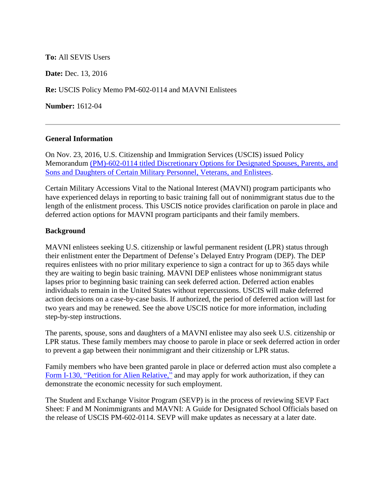# **To:** All SEVIS Users

**Date:** Dec. 13, 2016

**Re:** USCIS Policy Memo PM-602-0114 and MAVNI Enlistees

**Number:** 1612-04

#### **General Information**

On Nov. 23, 2016, U.S. Citizenship and Immigration Services (USCIS) issued Policy Memorandum [\(PM\)-602-0114 titled Discretionary Options for Designated Spouses, Parents, and](https://www.uscis.gov/sites/default/files/USCIS/Laws/Memoranda/2016/PIP-DA_Military_Final_112316.pdf)  [Sons and Daughters of Certain Military Personnel, Veterans, and Enlistees.](https://www.uscis.gov/sites/default/files/USCIS/Laws/Memoranda/2016/PIP-DA_Military_Final_112316.pdf)

Certain Military Accessions Vital to the National Interest (MAVNI) program participants who have experienced delays in reporting to basic training fall out of nonimmigrant status due to the length of the enlistment process. This USCIS notice provides clarification on parole in place and deferred action options for MAVNI program participants and their family members.

#### **Background**

MAVNI enlistees seeking U.S. citizenship or lawful permanent resident (LPR) status through their enlistment enter the Department of Defense's Delayed Entry Program (DEP). The DEP requires enlistees with no prior military experience to sign a contract for up to 365 days while they are waiting to begin basic training. MAVNI DEP enlistees whose nonimmigrant status lapses prior to beginning basic training can seek deferred action. Deferred action enables individuals to remain in the United States without repercussions. USCIS will make deferred action decisions on a case-by-case basis. If authorized, the period of deferred action will last for two years and may be renewed. See the above USCIS notice for more information, including step-by-step instructions.

The parents, spouse, sons and daughters of a MAVNI enlistee may also seek U.S. citizenship or LPR status. These family members may choose to parole in place or seek deferred action in order to prevent a gap between their nonimmigrant and their citizenship or LPR status.

Family members who have been granted parole in place or deferred action must also complete a [Form I-130, "Petition for Alien Relative,"](https://www.uscis.gov/i-130) and may apply for work authorization, if they can demonstrate the economic necessity for such employment.

The Student and Exchange Visitor Program (SEVP) is in the process of reviewing SEVP Fact Sheet: F and M Nonimmigrants and MAVNI: A Guide for Designated School Officials based on the release of USCIS PM-602-0114. SEVP will make updates as necessary at a later date.